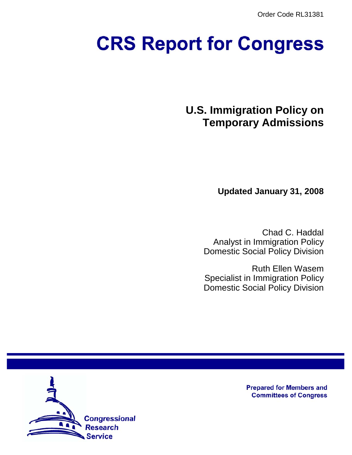Order Code RL31381

# **CRS Report for Congress**

**U.S. Immigration Policy on Temporary Admissions**

**Updated January 31, 2008**

Chad C. Haddal Analyst in Immigration Policy Domestic Social Policy Division

Ruth Ellen Wasem Specialist in Immigration Policy Domestic Social Policy Division



**Prepared for Members and Committees of Congress**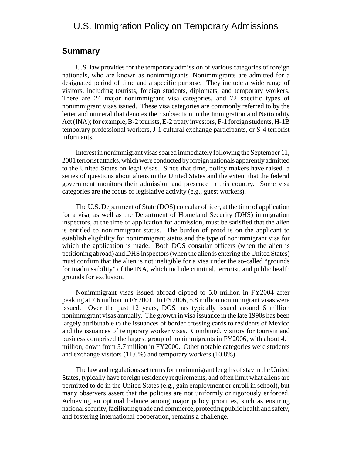## U.S. Immigration Policy on Temporary Admissions

#### **Summary**

U.S. law provides for the temporary admission of various categories of foreign nationals, who are known as nonimmigrants. Nonimmigrants are admitted for a designated period of time and a specific purpose. They include a wide range of visitors, including tourists, foreign students, diplomats, and temporary workers. There are 24 major nonimmigrant visa categories, and 72 specific types of nonimmigrant visas issued. These visa categories are commonly referred to by the letter and numeral that denotes their subsection in the Immigration and Nationality Act (INA); for example, B-2 tourists, E-2 treaty investors, F-1 foreign students, H-1B temporary professional workers, J-1 cultural exchange participants, or S-4 terrorist informants.

Interest in nonimmigrant visas soared immediately following the September 11, 2001 terrorist attacks, which were conducted by foreign nationals apparently admitted to the United States on legal visas. Since that time, policy makers have raised a series of questions about aliens in the United States and the extent that the federal government monitors their admission and presence in this country. Some visa categories are the focus of legislative activity (e.g., guest workers).

The U.S. Department of State (DOS) consular officer, at the time of application for a visa, as well as the Department of Homeland Security (DHS) immigration inspectors, at the time of application for admission, must be satisfied that the alien is entitled to nonimmigrant status. The burden of proof is on the applicant to establish eligibility for nonimmigrant status and the type of nonimmigrant visa for which the application is made. Both DOS consular officers (when the alien is petitioning abroad) and DHS inspectors (when the alien is entering the United States) must confirm that the alien is not ineligible for a visa under the so-called "grounds for inadmissibility" of the INA, which include criminal, terrorist, and public health grounds for exclusion.

Nonimmigrant visas issued abroad dipped to 5.0 million in FY2004 after peaking at 7.6 million in FY2001. In FY2006, 5.8 million nonimmigrant visas were issued. Over the past 12 years, DOS has typically issued around 6 million nonimmigrant visas annually. The growth in visa issuance in the late 1990s has been largely attributable to the issuances of border crossing cards to residents of Mexico and the issuances of temporary worker visas. Combined, visitors for tourism and business comprised the largest group of nonimmigrants in FY2006, with about 4.1 million, down from 5.7 million in FY2000. Other notable categories were students and exchange visitors (11.0%) and temporary workers (10.8%).

The law and regulations set terms for nonimmigrant lengths of stay in the United States, typically have foreign residency requirements, and often limit what aliens are permitted to do in the United States (e.g., gain employment or enroll in school), but many observers assert that the policies are not uniformly or rigorously enforced. Achieving an optimal balance among major policy priorities, such as ensuring national security, facilitating trade and commerce, protecting public health and safety, and fostering international cooperation, remains a challenge.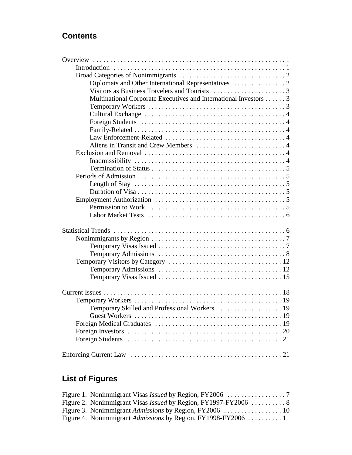## **Contents**

| Multinational Corporate Executives and International Investors 3                                     |
|------------------------------------------------------------------------------------------------------|
|                                                                                                      |
|                                                                                                      |
|                                                                                                      |
|                                                                                                      |
|                                                                                                      |
|                                                                                                      |
|                                                                                                      |
|                                                                                                      |
|                                                                                                      |
|                                                                                                      |
| Length of Stay $\dots \dots \dots \dots \dots \dots \dots \dots \dots \dots \dots \dots \dots \dots$ |
|                                                                                                      |
|                                                                                                      |
|                                                                                                      |
|                                                                                                      |
|                                                                                                      |
|                                                                                                      |
|                                                                                                      |
|                                                                                                      |
|                                                                                                      |
|                                                                                                      |
|                                                                                                      |
|                                                                                                      |
|                                                                                                      |
|                                                                                                      |
| Temporary Skilled and Professional Workers  19                                                       |
|                                                                                                      |
|                                                                                                      |
|                                                                                                      |
|                                                                                                      |
|                                                                                                      |

# **List of Figures**

| Figure 4. Nonimmigrant <i>Admissions</i> by Region, FY1998-FY2006 11 |  |
|----------------------------------------------------------------------|--|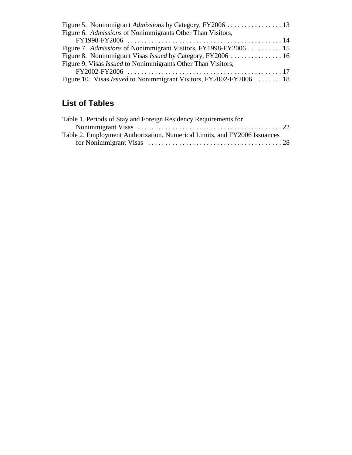| Figure 5. Nonimmigrant Admissions by Category, FY2006 13                  |  |
|---------------------------------------------------------------------------|--|
| Figure 6. Admissions of Nonimmigrants Other Than Visitors,                |  |
|                                                                           |  |
| Figure 7. Admissions of Nonimmigrant Visitors, FY1998-FY2006 15           |  |
| Figure 8. Nonimmigrant Visas <i>Issued</i> by Category, FY2006 16         |  |
| Figure 9. Visas <i>Issued</i> to Nonimmigrants Other Than Visitors,       |  |
|                                                                           |  |
| Figure 10. Visas <i>Issued</i> to Nonimmigrant Visitors, FY2002-FY2006 18 |  |
|                                                                           |  |

# **List of Tables**

| Table 1. Periods of Stay and Foreign Residency Requirements for           |  |
|---------------------------------------------------------------------------|--|
|                                                                           |  |
| Table 2. Employment Authorization, Numerical Limits, and FY2006 Issuances |  |
|                                                                           |  |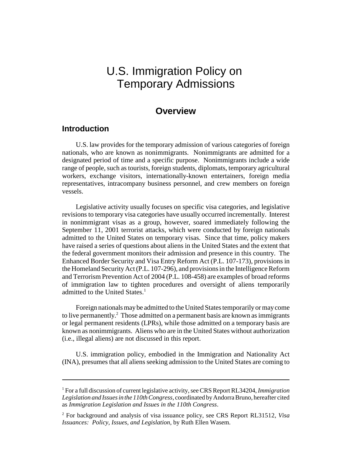# U.S. Immigration Policy on Temporary Admissions

## **Overview**

#### **Introduction**

U.S. law provides for the temporary admission of various categories of foreign nationals, who are known as nonimmigrants. Nonimmigrants are admitted for a designated period of time and a specific purpose. Nonimmigrants include a wide range of people, such as tourists, foreign students, diplomats, temporary agricultural workers, exchange visitors, internationally-known entertainers, foreign media representatives, intracompany business personnel, and crew members on foreign vessels.

Legislative activity usually focuses on specific visa categories, and legislative revisions to temporary visa categories have usually occurred incrementally. Interest in nonimmigrant visas as a group, however, soared immediately following the September 11, 2001 terrorist attacks, which were conducted by foreign nationals admitted to the United States on temporary visas. Since that time, policy makers have raised a series of questions about aliens in the United States and the extent that the federal government monitors their admission and presence in this country. The Enhanced Border Security and Visa Entry Reform Act (P.L. 107-173), provisions in the Homeland Security Act (P.L. 107-296), and provisions in the Intelligence Reform and Terrorism Prevention Act of 2004 (P.L. 108-458) are examples of broad reforms of immigration law to tighten procedures and oversight of aliens temporarily admitted to the United States.<sup>1</sup>

Foreign nationals may be admitted to the United States temporarily or may come to live permanently. $^2$  Those admitted on a permanent basis are known as immigrants or legal permanent residents (LPRs), while those admitted on a temporary basis are known as nonimmigrants. Aliens who are in the United States without authorization (i.e., illegal aliens) are not discussed in this report.

U.S. immigration policy, embodied in the Immigration and Nationality Act (INA), presumes that all aliens seeking admission to the United States are coming to

<sup>1</sup> For a full discussion of current legislative activity, see CRS Report RL34204, *Immigration Legislation and Issues in the 110th Congress*, coordinated by Andorra Bruno, hereafter cited as *Immigration Legislation and Issues in the 110th Congress*.

<sup>2</sup> For background and analysis of visa issuance policy, see CRS Report RL31512, *Visa Issuances: Policy, Issues, and Legislation*, by Ruth Ellen Wasem.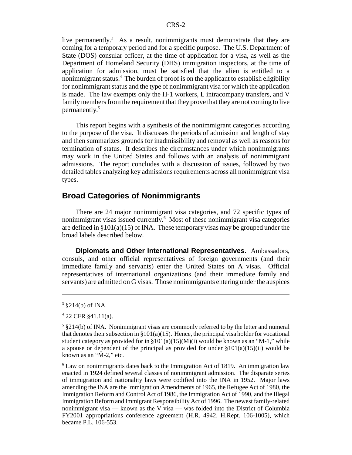live permanently.<sup>3</sup> As a result, nonimmigrants must demonstrate that they are coming for a temporary period and for a specific purpose. The U.S. Department of State (DOS) consular officer, at the time of application for a visa, as well as the Department of Homeland Security (DHS) immigration inspectors, at the time of application for admission, must be satisfied that the alien is entitled to a nonimmigrant status.4 The burden of proof is on the applicant to establish eligibility for nonimmigrant status and the type of nonimmigrant visa for which the application is made. The law exempts only the H-1 workers, L intracompany transfers, and V family members from the requirement that they prove that they are not coming to live permanently.5

This report begins with a synthesis of the nonimmigrant categories according to the purpose of the visa. It discusses the periods of admission and length of stay and then summarizes grounds for inadmissibility and removal as well as reasons for termination of status. It describes the circumstances under which nonimmigrants may work in the United States and follows with an analysis of nonimmigrant admissions. The report concludes with a discussion of issues, followed by two detailed tables analyzing key admissions requirements across all nonimmigrant visa types.

#### **Broad Categories of Nonimmigrants**

There are 24 major nonimmigrant visa categories, and 72 specific types of nonimmigrant visas issued currently.<sup>6</sup> Most of these nonimmigrant visa categories are defined in  $\S 101(a)(15)$  of INA. These temporary visas may be grouped under the broad labels described below.

**Diplomats and Other International Representatives.** Ambassadors, consuls, and other official representatives of foreign governments (and their immediate family and servants) enter the United States on A visas. Official representatives of international organizations (and their immediate family and servants) are admitted on G visas. Those nonimmigrants entering under the auspices

 $3 \text{ } $214(b) \text{ of INA.}$ 

<sup>4</sup> 22 CFR §41.11(a).

 $5 \text{ }\frac{1}{2}$  \$214(b) of INA. Nonimmigrant visas are commonly referred to by the letter and numeral that denotes their subsection in §101(a)(15). Hence, the principal visa holder for vocational student category as provided for in  $\S 101(a)(15)(M)(i)$  would be known as an "M-1," while a spouse or dependent of the principal as provided for under  $\S 101(a)(15)(ii)$  would be known as an "M-2," etc.

<sup>&</sup>lt;sup>6</sup> Law on nonimmigrants dates back to the Immigration Act of 1819. An immigration law enacted in 1924 defined several classes of nonimmigrant admission. The disparate series of immigration and nationality laws were codified into the INA in 1952. Major laws amending the INA are the Immigration Amendments of 1965, the Refugee Act of 1980, the Immigration Reform and Control Act of 1986, the Immigration Act of 1990, and the Illegal Immigration Reform and Immigrant Responsibility Act of 1996. The newest family-related nonimmigrant visa — known as the V visa — was folded into the District of Columbia FY2001 appropriations conference agreement (H.R. 4942, H.Rept. 106-1005), which became P.L. 106-553.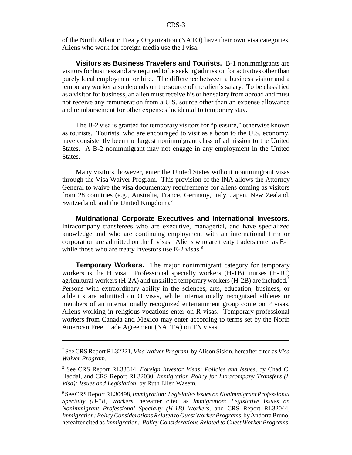of the North Atlantic Treaty Organization (NATO) have their own visa categories. Aliens who work for foreign media use the I visa.

**Visitors as Business Travelers and Tourists.** B-1 nonimmigrants are visitors for business and are required to be seeking admission for activities other than purely local employment or hire. The difference between a business visitor and a temporary worker also depends on the source of the alien's salary. To be classified as a visitor for business, an alien must receive his or her salary from abroad and must not receive any remuneration from a U.S. source other than an expense allowance and reimbursement for other expenses incidental to temporary stay.

The B-2 visa is granted for temporary visitors for "pleasure," otherwise known as tourists. Tourists, who are encouraged to visit as a boon to the U.S. economy, have consistently been the largest nonimmigrant class of admission to the United States. A B-2 nonimmigrant may not engage in any employment in the United States.

Many visitors, however, enter the United States without nonimmigrant visas through the Visa Waiver Program. This provision of the INA allows the Attorney General to waive the visa documentary requirements for aliens coming as visitors from 28 countries (e.g., Australia, France, Germany, Italy, Japan, New Zealand, Switzerland, and the United Kingdom).<sup>7</sup>

**Multinational Corporate Executives and International Investors.** Intracompany transferees who are executive, managerial, and have specialized knowledge and who are continuing employment with an international firm or corporation are admitted on the L visas. Aliens who are treaty traders enter as E-1 while those who are treaty investors use E-2 visas.<sup>8</sup>

**Temporary Workers.** The major nonimmigrant category for temporary workers is the H visa. Professional specialty workers (H-1B), nurses (H-1C) agricultural workers (H-2A) and unskilled temporary workers (H-2B) are included.<sup>9</sup> Persons with extraordinary ability in the sciences, arts, education, business, or athletics are admitted on O visas, while internationally recognized athletes or members of an internationally recognized entertainment group come on P visas. Aliens working in religious vocations enter on R visas. Temporary professional workers from Canada and Mexico may enter according to terms set by the North American Free Trade Agreement (NAFTA) on TN visas.

<sup>7</sup> See CRS Report RL32221, *Visa Waiver Program*, by Alison Siskin, hereafter cited as *Visa Waiver Program*.

<sup>8</sup> See CRS Report RL33844, *Foreign Investor Visas: Policies and Issues*, by Chad C. Haddal, and CRS Report RL32030, *Immigration Policy for Intracompany Transfers (L Visa): Issues and Legislation*, by Ruth Ellen Wasem.

<sup>9</sup> See CRS Report RL30498, *Immigration: Legislative Issues on Nonimmigrant Professional Specialty (H-1B) Workers*, hereafter cited as *Immigration: Legislative Issues on Nonimmigrant Professional Specialty (H-1B) Workers*, and CRS Report RL32044, *Immigration: Policy Considerations Related to Guest Worker Programs*, by Andorra Bruno, hereafter cited as *Immigration: Policy Considerations Related to Guest Worker Programs*.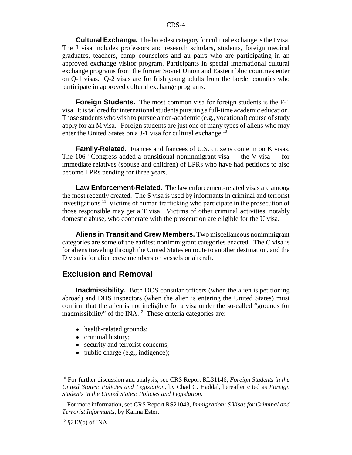**Cultural Exchange.** The broadest category for cultural exchange is the J visa. The J visa includes professors and research scholars, students, foreign medical graduates, teachers, camp counselors and au pairs who are participating in an approved exchange visitor program. Participants in special international cultural exchange programs from the former Soviet Union and Eastern bloc countries enter on Q-1 visas. Q-2 visas are for Irish young adults from the border counties who participate in approved cultural exchange programs.

**Foreign Students.** The most common visa for foreign students is the F-1 visa. It is tailored for international students pursuing a full-time academic education. Those students who wish to pursue a non-academic (e.g., vocational) course of study apply for an M visa. Foreign students are just one of many types of aliens who may enter the United States on a J-1 visa for cultural exchange.<sup>10</sup>

**Family-Related.** Fiances and fiancees of U.S. citizens come in on K visas. The 106<sup>th</sup> Congress added a transitional nonimmigrant visa — the V visa — for immediate relatives (spouse and children) of LPRs who have had petitions to also become LPRs pending for three years.

**Law Enforcement-Related.** The law enforcement-related visas are among the most recently created. The S visa is used by informants in criminal and terrorist investigations.11 Victims of human trafficking who participate in the prosecution of those responsible may get a T visa. Victims of other criminal activities, notably domestic abuse, who cooperate with the prosecution are eligible for the U visa.

**Aliens in Transit and Crew Members.** Two miscellaneous nonimmigrant categories are some of the earliest nonimmigrant categories enacted. The C visa is for aliens traveling through the United States en route to another destination, and the D visa is for alien crew members on vessels or aircraft.

#### **Exclusion and Removal**

**Inadmissibility.** Both DOS consular officers (when the alien is petitioning abroad) and DHS inspectors (when the alien is entering the United States) must confirm that the alien is not ineligible for a visa under the so-called "grounds for inadmissibility" of the  $\text{INA}^{12}$  These criteria categories are:

- health-related grounds;
- criminal history;
- security and terrorist concerns;
- public charge (e.g., indigence);

<sup>10</sup> For further discussion and analysis, see CRS Report RL31146, *Foreign Students in the United States: Policies and Legislation*, by Chad C. Haddal, hereafter cited as *Foreign Students in the United States: Policies and Legislation*.

<sup>&</sup>lt;sup>11</sup> For more information, see CRS Report RS21043, *Immigration: S Visas for Criminal and Terrorist Informants*, by Karma Ester.

 $12$  §212(b) of INA.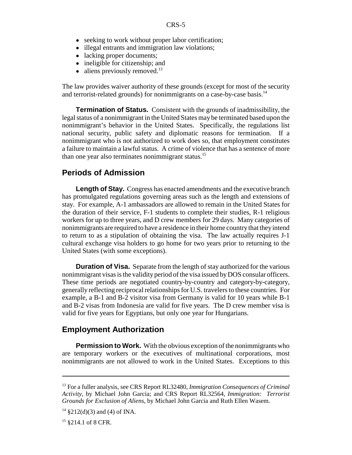- seeking to work without proper labor certification;
- illegal entrants and immigration law violations;
- lacking proper documents;
- ineligible for citizenship; and
- $\bullet$  aliens previously removed.<sup>13</sup>

The law provides waiver authority of these grounds (except for most of the security and terrorist-related grounds) for nonimmigrants on a case-by-case basis.<sup>14</sup>

**Termination of Status.** Consistent with the grounds of inadmissibility, the legal status of a nonimmigrant in the United States may be terminated based upon the nonimmigrant's behavior in the United States. Specifically, the regulations list national security, public safety and diplomatic reasons for termination. If a nonimmigrant who is not authorized to work does so, that employment constitutes a failure to maintain a lawful status. A crime of violence that has a sentence of more than one year also terminates nonimmigrant status.<sup>15</sup>

#### **Periods of Admission**

Length of Stay. Congress has enacted amendments and the executive branch has promulgated regulations governing areas such as the length and extensions of stay. For example, A-1 ambassadors are allowed to remain in the United States for the duration of their service, F-1 students to complete their studies, R-1 religious workers for up to three years, and D crew members for 29 days. Many categories of nonimmigrants are required to have a residence in their home country that they intend to return to as a stipulation of obtaining the visa. The law actually requires J-1 cultural exchange visa holders to go home for two years prior to returning to the United States (with some exceptions).

**Duration of Visa.** Separate from the length of stay authorized for the various nonimmigrant visas is the validity period of the visa issued by DOS consular officers. These time periods are negotiated country-by-country and category-by-category, generally reflecting reciprocal relationships for U.S. travelers to these countries. For example, a B-1 and B-2 visitor visa from Germany is valid for 10 years while B-1 and B-2 visas from Indonesia are valid for five years. The D crew member visa is valid for five years for Egyptians, but only one year for Hungarians.

#### **Employment Authorization**

**Permission to Work.** With the obvious exception of the nonimmigrants who are temporary workers or the executives of multinational corporations, most nonimmigrants are not allowed to work in the United States. Exceptions to this

<sup>13</sup> For a fuller analysis, see CRS Report RL32480, *Immigration Consequences of Criminal Activity*, by Michael John Garcia; and CRS Report RL32564, *Immigration: Terrorist Grounds for Exclusion of Aliens*, by Michael John Garcia and Ruth Ellen Wasem.

 $14 \text{ } $212(d)(3)$  and (4) of INA.

<sup>&</sup>lt;sup>15</sup> §214.1 of 8 CFR.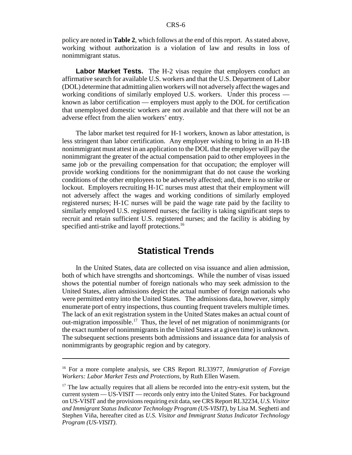policy are noted in **Table 2**, which follows at the end of this report. As stated above, working without authorization is a violation of law and results in loss of nonimmigrant status.

**Labor Market Tests.** The H-2 visas require that employers conduct an affirmative search for available U.S. workers and that the U.S. Department of Labor (DOL) determine that admitting alien workers will not adversely affect the wages and working conditions of similarly employed U.S. workers. Under this process known as labor certification — employers must apply to the DOL for certification that unemployed domestic workers are not available and that there will not be an adverse effect from the alien workers' entry.

The labor market test required for H-1 workers, known as labor attestation, is less stringent than labor certification. Any employer wishing to bring in an H-1B nonimmigrant must attest in an application to the DOL that the employer will pay the nonimmigrant the greater of the actual compensation paid to other employees in the same job or the prevailing compensation for that occupation; the employer will provide working conditions for the nonimmigrant that do not cause the working conditions of the other employees to be adversely affected; and, there is no strike or lockout. Employers recruiting H-1C nurses must attest that their employment will not adversely affect the wages and working conditions of similarly employed registered nurses; H-1C nurses will be paid the wage rate paid by the facility to similarly employed U.S. registered nurses; the facility is taking significant steps to recruit and retain sufficient U.S. registered nurses; and the facility is abiding by specified anti-strike and layoff protections.<sup>16</sup>

## **Statistical Trends**

In the United States, data are collected on visa issuance and alien admission, both of which have strengths and shortcomings. While the number of visas issued shows the potential number of foreign nationals who may seek admission to the United States, alien admissions depict the actual number of foreign nationals who were permitted entry into the United States. The admissions data, however, simply enumerate port of entry inspections, thus counting frequent travelers multiple times. The lack of an exit registration system in the United States makes an actual count of out-migration impossible.<sup>17</sup> Thus, the level of net migration of nonimmigrants (or the exact number of nonimmigrants in the United States at a given time) is unknown. The subsequent sections presents both admissions and issuance data for analysis of nonimmigrants by geographic region and by category.

<sup>16</sup> For a more complete analysis, see CRS Report RL33977, *Immigration of Foreign Workers: Labor Market Tests and Protections*, by Ruth Ellen Wasem.

 $17$  The law actually requires that all aliens be recorded into the entry-exit system, but the current system — US-VISIT — records only entry into the United States. For background on US-VISIT and the provisions requiring exit data, see CRS Report RL32234, *U.S. Visitor and Immigrant Status Indicator Technology Program (US-VISIT)*, by Lisa M. Seghetti and Stephen Viña, hereafter cited as *U.S. Visitor and Immigrant Status Indicator Technology Program (US-VISIT)*.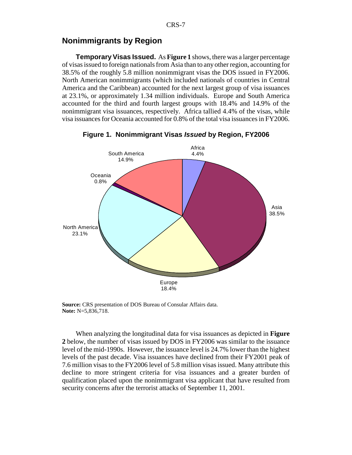#### **Nonimmigrants by Region**

**Temporary Visas Issued.** As **Figure 1** shows, there was a larger percentage of visas issued to foreign nationals from Asia than to any other region, accounting for 38.5% of the roughly 5.8 million nonimmigrant visas the DOS issued in FY2006. North American nonimmigrants (which included nationals of countries in Central America and the Caribbean) accounted for the next largest group of visa issuances at 23.1%, or approximately 1.34 million individuals. Europe and South America accounted for the third and fourth largest groups with 18.4% and 14.9% of the nonimmigrant visa issuances, respectively. Africa tallied 4.4% of the visas, while visa issuances for Oceania accounted for 0.8% of the total visa issuances in FY2006.



**Figure 1. Nonimmigrant Visas** *Issued* **by Region, FY2006**

**Source:** CRS presentation of DOS Bureau of Consular Affairs data. **Note:** N=5,836,718.

When analyzing the longitudinal data for visa issuances as depicted in **Figure 2** below, the number of visas issued by DOS in FY2006 was similar to the issuance level of the mid-1990s. However, the issuance level is 24.7% lower than the highest levels of the past decade. Visa issuances have declined from their FY2001 peak of 7.6 million visas to the FY2006 level of 5.8 million visas issued. Many attribute this decline to more stringent criteria for visa issuances and a greater burden of qualification placed upon the nonimmigrant visa applicant that have resulted from security concerns after the terrorist attacks of September 11, 2001.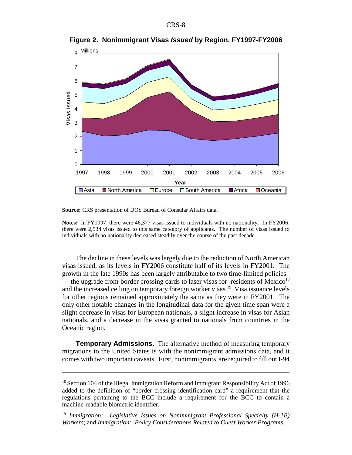

**Figure 2. Nonimmigrant Visas** *Issued* **by Region, FY1997-FY2006**

**Source:** CRS presentation of DOS Bureau of Consular Affairs data.

**Notes:** In FY1997, there were 46,377 visas issued to individuals with no nationality. In FY2006, there were 2,534 visas issued to this same category of applicants. The number of visas issued to individuals with no nationality decreased steadily over the course of the past decade.

The decline in these levels was largely due to the reduction of North American visas issued, as its levels in FY2006 constitute half of its levels in FY2001. The growth in the late 1990s has been largely attributable to two time-limited policies — the upgrade from border crossing cards to laser visas for residents of Mexico<sup>18</sup> and the increased ceiling on temporary foreign worker visas.<sup>19</sup> Visa issuance levels for other regions remained approximately the same as they were in FY2001. The only other notable changes in the longitudinal data for the given time span were a slight decrease in visas for European nationals, a slight increase in visas for Asian nationals, and a decrease in the visas granted to nationals from countries in the Oceanic region.

**Temporary Admissions.** The alternative method of measuring temporary migrations to the United States is with the nonimmigrant admissions data, and it comes with two important caveats. First, nonimmigrants are required to fill out I-94

 $18$  Section 104 of the Illegal Immigration Reform and Immigrant Responsibility Act of 1996 added to the definition of "border crossing identification card" a requirement that the regulations pertaining to the BCC include a requirement for the BCC to contain a machine-readable biometric identifier.

<sup>19</sup> *Immigration: Legislative Issues on Nonimmigrant Professional Specialty (H-1B) Workers*; and *Immigration: Policy Considerations Related to Guest Worker Programs*.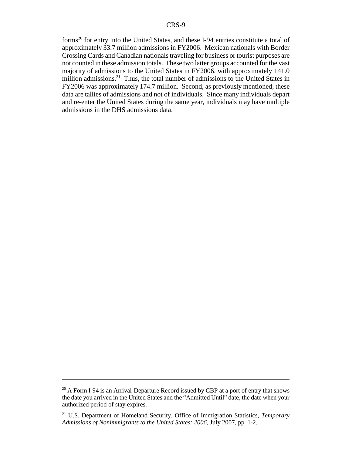forms20 for entry into the United States, and these I-94 entries constitute a total of approximately 33.7 million admissions in FY2006. Mexican nationals with Border Crossing Cards and Canadian nationals traveling for business or tourist purposes are not counted in these admission totals. These two latter groups accounted for the vast majority of admissions to the United States in FY2006, with approximately 141.0 million admissions.<sup>21</sup> Thus, the total number of admissions to the United States in FY2006 was approximately 174.7 million. Second, as previously mentioned, these data are tallies of admissions and not of individuals. Since many individuals depart and re-enter the United States during the same year, individuals may have multiple admissions in the DHS admissions data.

<sup>&</sup>lt;sup>20</sup> A Form I-94 is an Arrival-Departure Record issued by CBP at a port of entry that shows the date you arrived in the United States and the "Admitted Until" date, the date when your authorized period of stay expires.

<sup>21</sup> U.S. Department of Homeland Security, Office of Immigration Statistics, *Temporary Admissions of Nonimmigrants to the United States: 2006*, July 2007, pp. 1-2.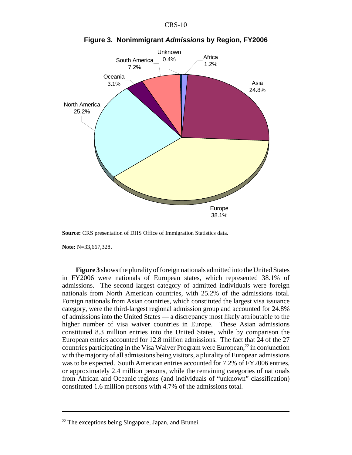



**Figure 3. Nonimmigrant** *Admissions* **by Region, FY2006**

**Source:** CRS presentation of DHS Office of Immigration Statistics data.

**Note:** N=33,667,328.

**Figure 3** shows the plurality of foreign nationals admitted into the United States in FY2006 were nationals of European states, which represented 38.1% of admissions. The second largest category of admitted individuals were foreign nationals from North American countries, with 25.2% of the admissions total. Foreign nationals from Asian countries, which constituted the largest visa issuance category, were the third-largest regional admission group and accounted for 24.8% of admissions into the United States — a discrepancy most likely attributable to the higher number of visa waiver countries in Europe. These Asian admissions constituted 8.3 million entries into the United States, while by comparison the European entries accounted for 12.8 million admissions. The fact that 24 of the 27 countries participating in the Visa Waiver Program were European, $^{22}$  in conjunction with the majority of all admissions being visitors, a plurality of European admissions was to be expected. South American entries accounted for 7.2% of FY2006 entries, or approximately 2.4 million persons, while the remaining categories of nationals from African and Oceanic regions (and individuals of "unknown" classification) constituted 1.6 million persons with 4.7% of the admissions total.

 $22$  The exceptions being Singapore, Japan, and Brunei.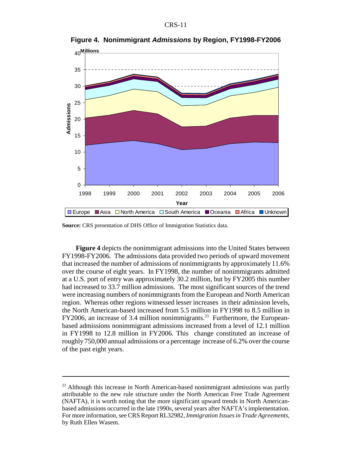

**Figure 4. Nonimmigrant** *Admissions* **by Region, FY1998-FY2006**

**Source:** CRS presentation of DHS Office of Immigration Statistics data.

**Figure 4** depicts the nonimmigrant admissions into the United States between FY1998-FY2006. The admissions data provided two periods of upward movement that increased the number of admissions of nonimmigrants by approximately 11.6% over the course of eight years. In FY1998, the number of nonimmigrants admitted at a U.S. port of entry was approximately 30.2 million, but by FY2005 this number had increased to 33.7 million admissions. The most significant sources of the trend were increasing numbers of nonimmigrants from the European and North American region. Whereas other regions witnessed lesser increases in their admission levels, the North American-based increased from 5.5 million in FY1998 to 8.5 million in  $FY2006$ , an increase of 3.4 million nonimmigrants.<sup>23</sup> Furthermore, the Europeanbased admissions nonimmigrant admissions increased from a level of 12.1 million in FY1998 to 12.8 million in FY2006. This change constituted an increase of roughly 750,000 annual admissions or a percentage increase of 6.2% over the course of the past eight years.

 $23$  Although this increase in North American-based nonimmigrant admissions was partly attributable to the new rule structure under the North American Free Trade Agreement (NAFTA), it is worth noting that the more significant upward trends in North Americanbased admissions occurred in the late 1990s, several years after NAFTA's implementation. For more information, see CRS Report RL32982, *Immigration Issues in Trade Agreements*, by Ruth Ellen Wasem.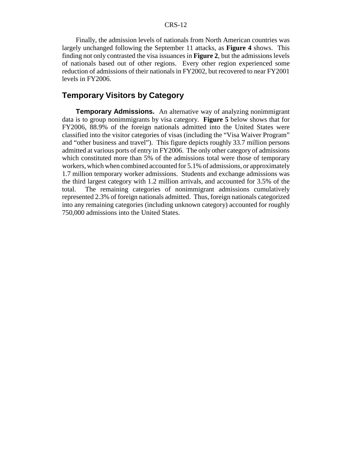Finally, the admission levels of nationals from North American countries was largely unchanged following the September 11 attacks, as **Figure 4** shows. This finding not only contrasted the visa issuances in **Figure 2**, but the admissions levels of nationals based out of other regions. Every other region experienced some reduction of admissions of their nationals in FY2002, but recovered to near FY2001 levels in FY2006.

#### **Temporary Visitors by Category**

**Temporary Admissions.** An alternative way of analyzing nonimmigrant data is to group nonimmigrants by visa category. **Figure 5** below shows that for FY2006, 88.9% of the foreign nationals admitted into the United States were classified into the visitor categories of visas (including the "Visa Waiver Program" and "other business and travel"). This figure depicts roughly 33.7 million persons admitted at various ports of entry in FY2006. The only other category of admissions which constituted more than 5% of the admissions total were those of temporary workers, which when combined accounted for 5.1% of admissions, or approximately 1.7 million temporary worker admissions. Students and exchange admissions was the third largest category with 1.2 million arrivals, and accounted for 3.5% of the total. The remaining categories of nonimmigrant admissions cumulatively represented 2.3% of foreign nationals admitted. Thus, foreign nationals categorized into any remaining categories (including unknown category) accounted for roughly 750,000 admissions into the United States.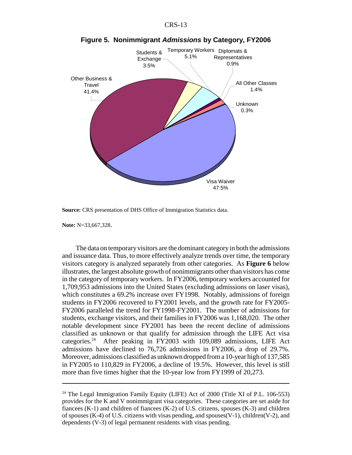

**Figure 5. Nonimmigrant** *Admissions* **by Category, FY2006**

**Source:** CRS presentation of DHS Office of Immigration Statistics data.

**Note:** N=33,667,328.

The data on temporary visitors are the dominant category in both the admissions and issuance data. Thus, to more effectively analyze trends over time, the temporary visitors category is analyzed separately from other categories. As **Figure 6** below illustrates, the largest absolute growth of nonimmigrants other than visitors has come in the category of temporary workers. In FY2006, temporary workers accounted for 1,709,953 admissions into the United States (excluding admissions on laser visas), which constitutes a 69.2% increase over FY1998. Notably, admissions of foreign students in FY2006 recovered to FY2001 levels, and the growth rate for FY2005- FY2006 paralleled the trend for FY1998-FY2001. The number of admissions for students, exchange visitors, and their families in FY2006 was 1,168,020. The other notable development since FY2001 has been the recent decline of admissions classified as unknown or that qualify for admission through the LIFE Act visa categories.24 After peaking in FY2003 with 109,089 admissions, LIFE Act admissions have declined to 76,726 admissions in FY2006, a drop of 29.7%. Moreover, admissions classified as unknown dropped from a 10-year high of 137,585 in FY2005 to 110,829 in FY2006, a decline of 19.5%. However, this level is still more than five times higher that the 10-year low from FY1999 of 20,273.

<sup>24</sup> The Legal Immigration Family Equity (LIFE) Act of 2000 (Title XI of P.L. 106-553) provides for the K and V nonimmigrant visa categories. These categories are set aside for fiancees  $(K-1)$  and children of fiancees  $(K-2)$  of U.S. citizens, spouses  $(K-3)$  and children of spouses (K-4) of U.S. citizens with visas pending, and spouses  $(V-1)$ , children $(V-2)$ , and dependents (V-3) of legal permanent residents with visas pending.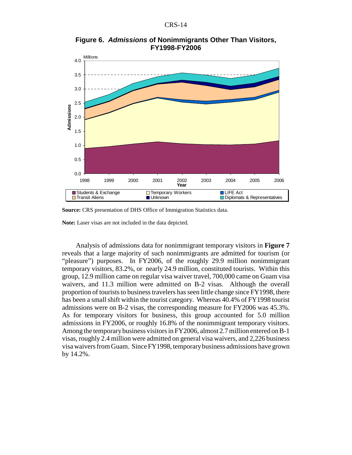

**Figure 6.** *Admissions* **of Nonimmigrants Other Than Visitors, FY1998-FY2006**

**Source:** CRS presentation of DHS Office of Immigration Statistics data.

**Note:** Laser visas are not included in the data depicted.

Analysis of admissions data for nonimmigrant temporary visitors in **Figure 7** reveals that a large majority of such nonimmigrants are admitted for tourism (or "pleasure") purposes. In FY2006, of the roughly 29.9 million nonimmigrant temporary visitors, 83.2%, or nearly 24.9 million, constituted tourists. Within this group, 12.9 million came on regular visa waiver travel, 700,000 came on Guam visa waivers, and 11.3 million were admitted on B-2 visas. Although the overall proportion of tourists to business travelers has seen little change since FY1998, there has been a small shift within the tourist category. Whereas 40.4% of FY1998 tourist admissions were on B-2 visas, the corresponding measure for FY2006 was 45.3%. As for temporary visitors for business, this group accounted for 5.0 million admissions in FY2006, or roughly 16.8% of the nonimmigrant temporary visitors. Among the temporary business visitors in FY2006, almost 2.7 million entered on B-1 visas, roughly 2.4 million were admitted on general visa waivers, and 2,226 business visa waivers from Guam. Since FY1998, temporary business admissions have grown by 14.2%.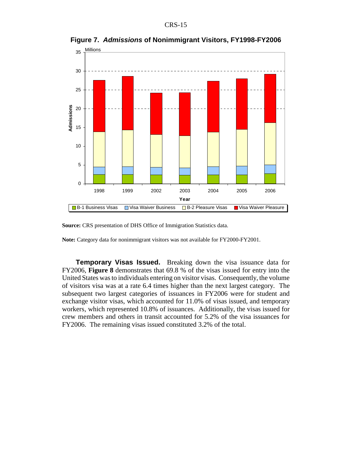

**Figure 7.** *Admissions* **of Nonimmigrant Visitors, FY1998-FY2006**



**Note:** Category data for nonimmigrant visitors was not available for FY2000-FY2001.

**Temporary Visas Issued.** Breaking down the visa issuance data for FY2006, **Figure 8** demonstrates that 69.8 % of the visas issued for entry into the United States was to individuals entering on visitor visas. Consequently, the volume of visitors visa was at a rate 6.4 times higher than the next largest category. The subsequent two largest categories of issuances in FY2006 were for student and exchange visitor visas, which accounted for 11.0% of visas issued, and temporary workers, which represented 10.8% of issuances. Additionally, the visas issued for crew members and others in transit accounted for 5.2% of the visa issuances for FY2006. The remaining visas issued constituted 3.2% of the total.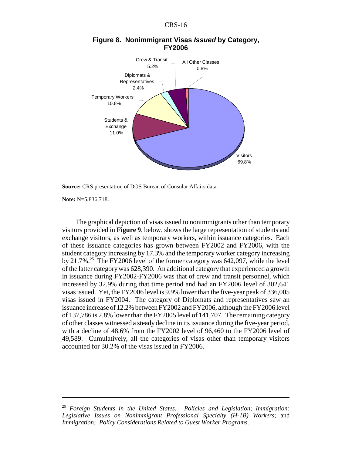

#### **Figure 8. Nonimmigrant Visas** *Issued* **by Category, FY2006**

**Source:** CRS presentation of DOS Bureau of Consular Affairs data.

**Note:** N=5,836,718.

The graphical depiction of visas issued to nonimmigrants other than temporary visitors provided in **Figure 9**, below, shows the large representation of students and exchange visitors, as well as temporary workers, within issuance categories. Each of these issuance categories has grown between FY2002 and FY2006, with the student category increasing by 17.3% and the temporary worker category increasing by  $21.7\%$ <sup>25</sup> The FY2006 level of the former category was 642,097, while the level of the latter category was 628,390. An additional category that experienced a growth in issuance during FY2002-FY2006 was that of crew and transit personnel, which increased by 32.9% during that time period and had an FY2006 level of 302,641 visas issued. Yet, the FY2006 level is 9.9% lower than the five-year peak of 336,005 visas issued in FY2004. The category of Diplomats and representatives saw an issuance increase of 12.2% between FY2002 and FY2006, although the FY2006 level of 137,786 is 2.8% lower than the FY2005 level of 141,707. The remaining category of other classes witnessed a steady decline in its issuance during the five-year period, with a decline of 48.6% from the FY2002 level of 96,460 to the FY2006 level of 49,589. Cumulatively, all the categories of visas other than temporary visitors accounted for 30.2% of the visas issued in FY2006.

<sup>25</sup> *Foreign Students in the United States: Policies and Legislation*; *Immigration: Legislative Issues on Nonimmigrant Professional Specialty (H-1B) Workers*; and *Immigration: Policy Considerations Related to Guest Worker Programs*.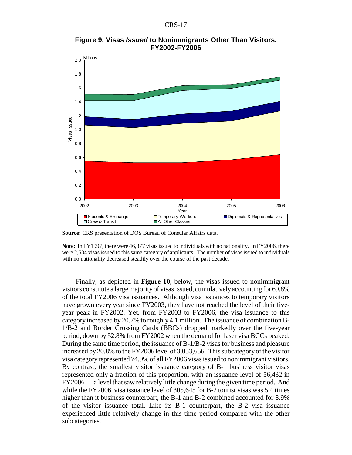**Figure 9. Visas** *Issued* **to Nonimmigrants Other Than Visitors, FY2002-FY2006**



**Source:** CRS presentation of DOS Bureau of Consular Affairs data.

**Note:** In FY1997, there were 46,377 visas issued to individuals with no nationality. In FY2006, there were 2,534 visas issued to this same category of applicants. The number of visas issued to individuals with no nationality decreased steadily over the course of the past decade.

Finally, as depicted in **Figure 10**, below, the visas issued to nonimmigrant visitors constitute a large majority of visas issued, cumulatively accounting for 69.8% of the total FY2006 visa issuances. Although visa issuances to temporary visitors have grown every year since FY2003, they have not reached the level of their fiveyear peak in FY2002. Yet, from FY2003 to FY2006, the visa issuance to this category increased by 20.7% to roughly 4.1 million. The issuance of combination B-1/B-2 and Border Crossing Cards (BBCs) dropped markedly over the five-year period, down by 52.8% from FY2002 when the demand for laser visa BCCs peaked. During the same time period, the issuance of B-1/B-2 visas for business and pleasure increased by 20.8% to the FY2006 level of 3,053,656. This subcategory of the visitor visa category represented 74.9% of all FY2006 visas issued to nonimmigrant visitors. By contrast, the smallest visitor issuance category of B-1 business visitor visas represented only a fraction of this proportion, with an issuance level of 56,432 in FY2006 — a level that saw relatively little change during the given time period. And while the FY2006 visa issuance level of 305,645 for B-2 tourist visas was 5.4 times higher than it business counterpart, the B-1 and B-2 combined accounted for 8.9% of the visitor issuance total. Like its B-1 counterpart, the B-2 visa issuance experienced little relatively change in this time period compared with the other subcategories.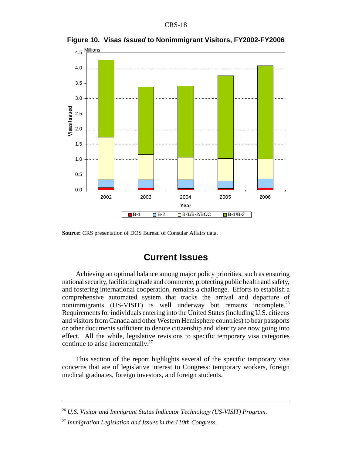

**Figure 10. Visas** *Issued* **to Nonimmigrant Visitors, FY2002-FY2006**

**Source:** CRS presentation of DOS Bureau of Consular Affairs data.

## **Current Issues**

Achieving an optimal balance among major policy priorities, such as ensuring national security, facilitating trade and commerce, protecting public health and safety, and fostering international cooperation, remains a challenge. Efforts to establish a comprehensive automated system that tracks the arrival and departure of nonimmigrants (US-VISIT) is well underway but remains incomplete.<sup>26</sup> Requirements for individuals entering into the United States (including U.S. citizens and visitors from Canada and other Western Hemisphere countries) to bear passports or other documents sufficient to denote citizenship and identity are now going into effect. All the while, legislative revisions to specific temporary visa categories continue to arise incrementally. $27$ 

This section of the report highlights several of the specific temporary visa concerns that are of legislative interest to Congress: temporary workers, foreign medical graduates, foreign investors, and foreign students.

<sup>26</sup> *U.S. Visitor and Immigrant Status Indicator Technology (US-VISIT) Program*.

<sup>27</sup> *Immigration Legislation and Issues in the 110th Congress*.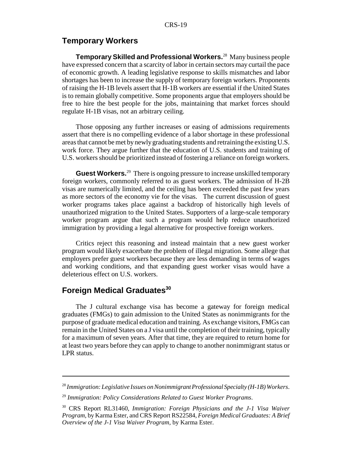### **Temporary Workers**

**Temporary Skilled and Professional Workers.**28 Many business people have expressed concern that a scarcity of labor in certain sectors may curtail the pace of economic growth. A leading legislative response to skills mismatches and labor shortages has been to increase the supply of temporary foreign workers. Proponents of raising the H-1B levels assert that H-1B workers are essential if the United States is to remain globally competitive. Some proponents argue that employers should be free to hire the best people for the jobs, maintaining that market forces should regulate H-1B visas, not an arbitrary ceiling.

Those opposing any further increases or easing of admissions requirements assert that there is no compelling evidence of a labor shortage in these professional areas that cannot be met by newly graduating students and retraining the existing U.S. work force. They argue further that the education of U.S. students and training of U.S. workers should be prioritized instead of fostering a reliance on foreign workers.

**Guest Workers.**<sup>29</sup> There is ongoing pressure to increase unskilled temporary foreign workers, commonly referred to as guest workers. The admission of H-2B visas are numerically limited, and the ceiling has been exceeded the past few years as more sectors of the economy vie for the visas. The current discussion of guest worker programs takes place against a backdrop of historically high levels of unauthorized migration to the United States. Supporters of a large-scale temporary worker program argue that such a program would help reduce unauthorized immigration by providing a legal alternative for prospective foreign workers.

Critics reject this reasoning and instead maintain that a new guest worker program would likely exacerbate the problem of illegal migration. Some allege that employers prefer guest workers because they are less demanding in terms of wages and working conditions, and that expanding guest worker visas would have a deleterious effect on U.S. workers.

## **Foreign Medical Graduates<sup>30</sup>**

The J cultural exchange visa has become a gateway for foreign medical graduates (FMGs) to gain admission to the United States as nonimmigrants for the purpose of graduate medical education and training. As exchange visitors, FMGs can remain in the United States on a J visa until the completion of their training, typically for a maximum of seven years. After that time, they are required to return home for at least two years before they can apply to change to another nonimmigrant status or LPR status.

<sup>28</sup> *Immigration: Legislative Issues on Nonimmigrant Professional Specialty (H-1B) Workers*.

<sup>29</sup> *Immigration: Policy Considerations Related to Guest Worker Programs*.

<sup>30</sup> CRS Report RL31460, *Immigration: Foreign Physicians and the J-1 Visa Waiver Program*, by Karma Ester, and CRS Report RS22584, *Foreign Medical Graduates: A Brief Overview of the J-1 Visa Waiver Program*, by Karma Ester.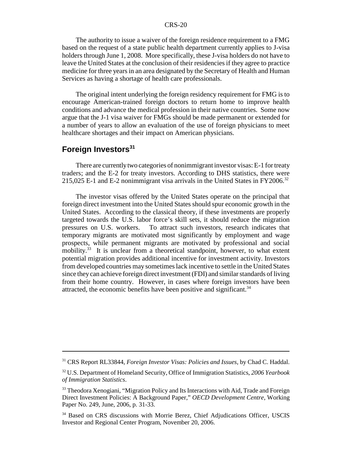#### CRS-20

The authority to issue a waiver of the foreign residence requirement to a FMG based on the request of a state public health department currently applies to J-visa holders through June 1, 2008. More specifically, these J-visa holders do not have to leave the United States at the conclusion of their residencies if they agree to practice medicine for three years in an area designated by the Secretary of Health and Human Services as having a shortage of health care professionals.

The original intent underlying the foreign residency requirement for FMG is to encourage American-trained foreign doctors to return home to improve health conditions and advance the medical profession in their native countries. Some now argue that the J-1 visa waiver for FMGs should be made permanent or extended for a number of years to allow an evaluation of the use of foreign physicians to meet healthcare shortages and their impact on American physicians.

## Foreign Investors<sup>31</sup>

There are currently two categories of nonimmigrant investor visas: E-1 for treaty traders; and the E-2 for treaty investors. According to DHS statistics, there were 215,025 E-1 and E-2 nonimmigrant visa arrivals in the United States in FY2006.<sup>32</sup>

The investor visas offered by the United States operate on the principal that foreign direct investment into the United States should spur economic growth in the United States. According to the classical theory, if these investments are properly targeted towards the U.S. labor force's skill sets, it should reduce the migration pressures on U.S. workers. To attract such investors, research indicates that temporary migrants are motivated most significantly by employment and wage prospects, while permanent migrants are motivated by professional and social mobility.<sup>33</sup> It is unclear from a theoretical standpoint, however, to what extent potential migration provides additional incentive for investment activity. Investors from developed countries may sometimes lack incentive to settle in the United States since they can achieve foreign direct investment (FDI) and similar standards of living from their home country. However, in cases where foreign investors have been attracted, the economic benefits have been positive and significant.<sup>34</sup>

<sup>31</sup> CRS Report RL33844, *Foreign Investor Visas: Policies and Issues*, by Chad C. Haddal.

<sup>32</sup> U.S. Department of Homeland Security, Office of Immigration Statistics, *2006 Yearbook of Immigration Statistics*.

<sup>&</sup>lt;sup>33</sup> Theodora Xenogiani, "Migration Policy and Its Interactions with Aid, Trade and Foreign Direct Investment Policies: A Background Paper," *OECD Development Centre*, Working Paper No. 249, June, 2006, p. 31-33.

<sup>&</sup>lt;sup>34</sup> Based on CRS discussions with Morrie Berez, Chief Adjudications Officer, USCIS Investor and Regional Center Program, November 20, 2006.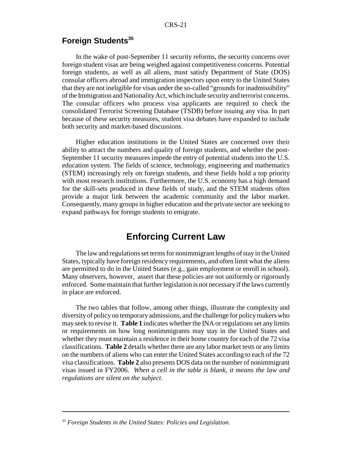## **Foreign Students<sup>35</sup>**

In the wake of post-September 11 security reforms, the security concerns over foreign student visas are being weighed against competitiveness concerns. Potential foreign students, as well as all aliens, must satisfy Department of State (DOS) consular officers abroad and immigration inspectors upon entry to the United States that they are not ineligible for visas under the so-called "grounds for inadmissibility" of the Immigration and Nationality Act, which include security and terrorist concerns. The consular officers who process visa applicants are required to check the consolidated Terrorist Screening Database (TSDB) before issuing any visa. In part because of these security measures, student visa debates have expanded to include both security and market-based discussions.

Higher education institutions in the United States are concerned over their ability to attract the numbers and quality of foreign students, and whether the post-September 11 security measures impede the entry of potential students into the U.S. education system. The fields of science, technology, engineering and mathematics (STEM) increasingly rely on foreign students, and these fields hold a top priority with most research institutions. Furthermore, the U.S. economy has a high demand for the skill-sets produced in these fields of study, and the STEM students often provide a major link between the academic community and the labor market. Consequently, many groups in higher education and the private sector are seeking to expand pathways for foreign students to emigrate.

## **Enforcing Current Law**

The law and regulations set terms for nonimmigrant lengths of stay in the United States, typically have foreign residency requirements, and often limit what the aliens are permitted to do in the United States (e.g., gain employment or enroll in school). Many observers, however, assert that these policies are not uniformly or rigorously enforced. Some maintain that further legislation is not necessary if the laws currently in place are enforced.

The two tables that follow, among other things, illustrate the complexity and diversity of policy on temporary admissions, and the challenge for policy makers who may seek to revise it. **Table 1** indicates whether the INA or regulations set any limits or requirements on how long nonimmigrants may stay in the United States and whether they must maintain a residence in their home country for each of the 72 visa classifications. **Table 2** details whether there are any labor market tests or any limits on the numbers of aliens who can enter the United States according to each of the 72 visa classifications. **Table 2** also presents DOS data on the number of nonimmigrant visas issued in FY2006. *When a cell in the table is blank, it means the law and regulations are silent on the subject*.

<sup>35</sup> *Foreign Students in the United States: Policies and Legislation*.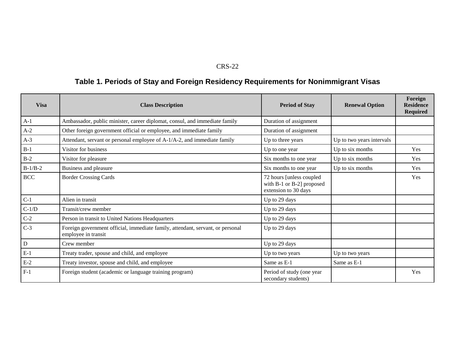#### CRS-22

# **Table 1. Periods of Stay and Foreign Residency Requirements for Nonimmigrant Visas**

| <b>Visa</b> | <b>Class Description</b>                                                                              | <b>Period of Stay</b>                                                          | <b>Renewal Option</b>     | Foreign<br><b>Residence</b><br><b>Required</b> |
|-------------|-------------------------------------------------------------------------------------------------------|--------------------------------------------------------------------------------|---------------------------|------------------------------------------------|
| $A-1$       | Ambassador, public minister, career diplomat, consul, and immediate family                            | Duration of assignment                                                         |                           |                                                |
| $A-2$       | Other foreign government official or employee, and immediate family                                   | Duration of assignment                                                         |                           |                                                |
| $A-3$       | Attendant, servant or personal employee of A-1/A-2, and immediate family                              | Up to three years                                                              | Up to two years intervals |                                                |
| $B-1$       | Visitor for business                                                                                  | Up to one year                                                                 | Up to six months          | Yes                                            |
| $B-2$       | Visitor for pleasure                                                                                  | Six months to one year                                                         | Up to six months          | Yes                                            |
| $B-1/B-2$   | Business and pleasure                                                                                 | Six months to one year                                                         | Up to six months          | Yes                                            |
| <b>BCC</b>  | <b>Border Crossing Cards</b>                                                                          | 72 hours [unless coupled]<br>with B-1 or B-2] proposed<br>extension to 30 days |                           | Yes                                            |
| $C-1$       | Alien in transit                                                                                      | Up to 29 days                                                                  |                           |                                                |
| $C-1/D$     | Transit/crew member                                                                                   | Up to 29 days                                                                  |                           |                                                |
| $C-2$       | Person in transit to United Nations Headquarters                                                      | Up to 29 days                                                                  |                           |                                                |
| $C-3$       | Foreign government official, immediate family, attendant, servant, or personal<br>employee in transit | Up to 29 days                                                                  |                           |                                                |
| ${\bf D}$   | Crew member                                                                                           | Up to 29 days                                                                  |                           |                                                |
| $E-1$       | Treaty trader, spouse and child, and employee                                                         | Up to two years                                                                | Up to two years           |                                                |
| $E-2$       | Treaty investor, spouse and child, and employee                                                       | Same as E-1                                                                    | Same as E-1               |                                                |
| $F-1$       | Foreign student (academic or language training program)                                               | Period of study (one year<br>secondary students)                               |                           | Yes                                            |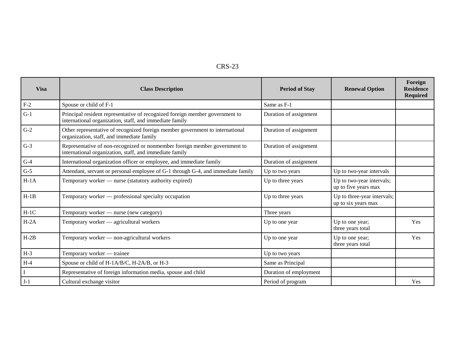| י<br>г<br>х.<br>יי<br>x. |  |
|--------------------------|--|
|--------------------------|--|

| <b>Visa</b> | <b>Class Description</b>                                                                                                                | <b>Period of Stay</b>  | <b>Renewal Option</b>                              | Foreign<br><b>Residence</b><br><b>Required</b> |
|-------------|-----------------------------------------------------------------------------------------------------------------------------------------|------------------------|----------------------------------------------------|------------------------------------------------|
| $F-2$       | Spouse or child of F-1                                                                                                                  | Same as F-1            |                                                    |                                                |
| $G-1$       | Principal resident representative of recognized foreign member government to<br>international organization, staff, and immediate family | Duration of assignment |                                                    |                                                |
| $G-2$       | Other representative of recognized foreign member government to international<br>organization, staff, and immediate family              | Duration of assignment |                                                    |                                                |
| $G-3$       | Representative of non-recognized or nonmember foreign member government to<br>international organization, staff, and immediate family   | Duration of assignment |                                                    |                                                |
| $G-4$       | International organization officer or employee, and immediate family                                                                    | Duration of assignment |                                                    |                                                |
| $G-5$       | Attendant, servant or personal employee of G-1 through G-4, and immediate family                                                        | Up to two years        | Up to two-year intervals                           |                                                |
| $H-1A$      | Temporary worker - nurse (statutory authority expired)                                                                                  | Up to three years      | Up to two-year intervals;<br>up to five years max  |                                                |
| $H-1B$      | Temporary worker — professional specialty occupation                                                                                    | Up to three years      | Up to three-year intervals;<br>up to six years max |                                                |
| $H-1C$      | Temporary worker - nurse (new category)                                                                                                 | Three years            |                                                    |                                                |
| $H-2A$      | Temporary worker — agricultural workers                                                                                                 | Up to one year         | Up to one year;<br>three years total               | Yes                                            |
| $H-2B$      | Temporary worker - non-agricultural workers                                                                                             | Up to one year         | Up to one year;<br>three years total               | Yes                                            |
| $H-3$       | Temporary worker — trainee                                                                                                              | Up to two years        |                                                    |                                                |
| $H-4$       | Spouse or child of H-1A/B/C, H-2A/B, or H-3                                                                                             | Same as Principal      |                                                    |                                                |
|             | Representative of foreign information media, spouse and child                                                                           | Duration of employment |                                                    |                                                |
| $J-1$       | Cultural exchange visitor                                                                                                               | Period of program      |                                                    | Yes                                            |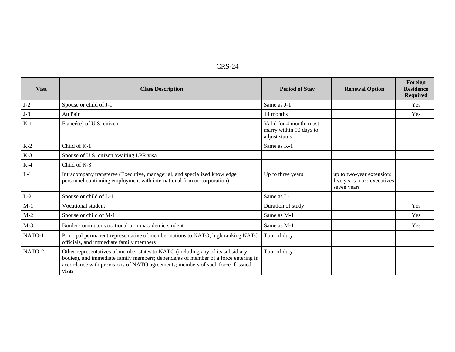| י<br>г<br>u.<br>' v<br>៶ ៲ | - |
|----------------------------|---|
|----------------------------|---|

| <b>Visa</b> | <b>Class Description</b>                                                                                                                                                                                                                                         | <b>Period of Stay</b>                                               | <b>Renewal Option</b>                                                  | Foreign<br><b>Residence</b><br><b>Required</b> |
|-------------|------------------------------------------------------------------------------------------------------------------------------------------------------------------------------------------------------------------------------------------------------------------|---------------------------------------------------------------------|------------------------------------------------------------------------|------------------------------------------------|
| $J-2$       | Spouse or child of J-1                                                                                                                                                                                                                                           | Same as J-1                                                         |                                                                        | Yes                                            |
| $J-3$       | Au Pair                                                                                                                                                                                                                                                          | 14 months                                                           |                                                                        | Yes                                            |
| $K-1$       | Fiancé(e) of U.S. citizen                                                                                                                                                                                                                                        | Valid for 4 month; must<br>marry within 90 days to<br>adjust status |                                                                        |                                                |
| $K-2$       | Child of K-1                                                                                                                                                                                                                                                     | Same as K-1                                                         |                                                                        |                                                |
| $K-3$       | Spouse of U.S. citizen awaiting LPR visa                                                                                                                                                                                                                         |                                                                     |                                                                        |                                                |
| $K-4$       | Child of K-3                                                                                                                                                                                                                                                     |                                                                     |                                                                        |                                                |
| $L-1$       | Intracompany transferee (Executive, managerial, and specialized knowledge<br>personnel continuing employment with international firm or corporation)                                                                                                             | Up to three years                                                   | up to two-year extension:<br>five years max; executives<br>seven years |                                                |
| $L-2$       | Spouse or child of L-1                                                                                                                                                                                                                                           | Same as L-1                                                         |                                                                        |                                                |
| $M-1$       | Vocational student                                                                                                                                                                                                                                               | Duration of study                                                   |                                                                        | <b>Yes</b>                                     |
| $M-2$       | Spouse or child of M-1                                                                                                                                                                                                                                           | Same as M-1                                                         |                                                                        | Yes                                            |
| $M-3$       | Border commuter vocational or nonacademic student                                                                                                                                                                                                                | Same as M-1                                                         |                                                                        | Yes                                            |
| NATO-1      | Principal permanent representative of member nations to NATO, high ranking NATO<br>officials, and immediate family members                                                                                                                                       | Tour of duty                                                        |                                                                        |                                                |
| NATO-2      | Other representatives of member states to NATO (including any of its subsidiary<br>bodies), and immediate family members; dependents of member of a force entering in<br>accordance with provisions of NATO agreements; members of such force if issued<br>visas | Tour of duty                                                        |                                                                        |                                                |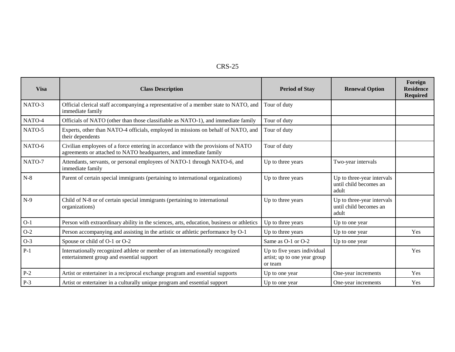#### CRS-25

| <b>Visa</b> | <b>Class Description</b>                                                                                                                              | <b>Period of Stay</b>                                                  | <b>Renewal Option</b>                                         | Foreign<br><b>Residence</b><br><b>Required</b> |
|-------------|-------------------------------------------------------------------------------------------------------------------------------------------------------|------------------------------------------------------------------------|---------------------------------------------------------------|------------------------------------------------|
| NATO-3      | Official clerical staff accompanying a representative of a member state to NATO, and<br>immediate family                                              | Tour of duty                                                           |                                                               |                                                |
| NATO-4      | Officials of NATO (other than those classifiable as NATO-1), and immediate family                                                                     | Tour of duty                                                           |                                                               |                                                |
| NATO-5      | Experts, other than NATO-4 officials, employed in missions on behalf of NATO, and<br>their dependents                                                 | Tour of duty                                                           |                                                               |                                                |
| NATO-6      | Civilian employees of a force entering in accordance with the provisions of NATO<br>agreements or attached to NATO headquarters, and immediate family | Tour of duty                                                           |                                                               |                                                |
| NATO-7      | Attendants, servants, or personal employees of NATO-1 through NATO-6, and<br>immediate family                                                         | Up to three years                                                      | Two-year intervals                                            |                                                |
| $N-8$       | Parent of certain special immigrants (pertaining to international organizations)                                                                      | Up to three years                                                      | Up to three-year intervals<br>until child becomes an<br>adult |                                                |
| $N-9$       | Child of N-8 or of certain special immigrants (pertaining to international<br>organizations)                                                          | Up to three years                                                      | Up to three-year intervals<br>until child becomes an<br>adult |                                                |
| $O-1$       | Person with extraordinary ability in the sciences, arts, education, business or athletics                                                             | Up to three years                                                      | Up to one year                                                |                                                |
| $O-2$       | Person accompanying and assisting in the artistic or athletic performance by O-1                                                                      | Up to three years                                                      | Up to one year                                                | Yes                                            |
| $O-3$       | Spouse or child of O-1 or O-2                                                                                                                         | Same as O-1 or O-2                                                     | Up to one year                                                |                                                |
| $P-1$       | Internationally recognized athlete or member of an internationally recognized<br>entertainment group and essential support                            | Up to five years individual<br>artist; up to one year group<br>or team |                                                               | Yes                                            |
| $P-2$       | Artist or entertainer in a reciprocal exchange program and essential supports                                                                         | Up to one year                                                         | One-year increments                                           | Yes                                            |
| $P-3$       | Artist or entertainer in a culturally unique program and essential support                                                                            | Up to one year                                                         | One-year increments                                           | Yes                                            |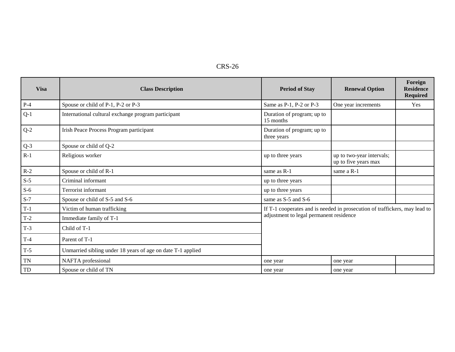| CRS-26 |  |
|--------|--|
|--------|--|

| <b>Visa</b> | <b>Class Description</b>                                    | <b>Period of Stay</b>                                                      | <b>Renewal Option</b>                             | Foreign<br><b>Residence</b><br><b>Required</b> |  |
|-------------|-------------------------------------------------------------|----------------------------------------------------------------------------|---------------------------------------------------|------------------------------------------------|--|
| $P-4$       | Spouse or child of P-1, P-2 or P-3                          | Same as P-1, P-2 or P-3                                                    | One year increments                               | Yes                                            |  |
| $Q-1$       | International cultural exchange program participant         | Duration of program; up to<br>15 months                                    |                                                   |                                                |  |
| $Q-2$       | Irish Peace Process Program participant                     | Duration of program; up to<br>three years                                  |                                                   |                                                |  |
| $Q-3$       | Spouse or child of Q-2                                      |                                                                            |                                                   |                                                |  |
| $R-1$       | Religious worker                                            | up to three years                                                          | up to two-year intervals;<br>up to five years max |                                                |  |
| $R-2$       | Spouse or child of R-1                                      | same as R-1                                                                | same a R-1                                        |                                                |  |
| $S-5$       | Criminal informant                                          | up to three years                                                          |                                                   |                                                |  |
| $S-6$       | Terrorist informant                                         | up to three years                                                          |                                                   |                                                |  |
| $S-7$       | Spouse or child of S-5 and S-6                              | same as S-5 and S-6                                                        |                                                   |                                                |  |
| $T-1$       | Victim of human trafficking                                 | If T-1 cooperates and is needed in prosecution of traffickers, may lead to |                                                   |                                                |  |
| $T-2$       | Immediate family of T-1                                     | adjustment to legal permanent residence                                    |                                                   |                                                |  |
| $T-3$       | Child of T-1                                                |                                                                            |                                                   |                                                |  |
| $T-4$       | Parent of T-1                                               |                                                                            |                                                   |                                                |  |
| $T-5$       | Unmarried sibling under 18 years of age on date T-1 applied |                                                                            |                                                   |                                                |  |
| <b>TN</b>   | NAFTA professional                                          | one year                                                                   | one year                                          |                                                |  |
| TD          | Spouse or child of TN                                       | one year                                                                   | one year                                          |                                                |  |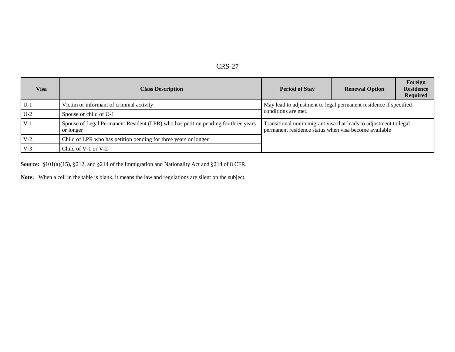| n<br>I<br>۰<br>r |
|------------------|
|------------------|

| Visa  | <b>Class Description</b>                                                                       | <b>Period of Stay</b>                                                                                                     | <b>Renewal Option</b> | Foreign<br><b>Residence</b><br><b>Required</b> |
|-------|------------------------------------------------------------------------------------------------|---------------------------------------------------------------------------------------------------------------------------|-----------------------|------------------------------------------------|
| $U-1$ | Victim or informant of criminal activity                                                       | May lead to adjustment to legal permanent residence if specified                                                          |                       |                                                |
| $U-2$ | Spouse or child of U-1                                                                         | conditions are met.                                                                                                       |                       |                                                |
| $V-1$ | Spouse of Legal Permanent Resident (LPR) who has petition pending for three years<br>or longer | Transitional nonimmigrant visa that leads to adjustment to legal<br>permanent residence status when visa become available |                       |                                                |
| $V-2$ | Child of LPR who has petition pending for three years or longer                                |                                                                                                                           |                       |                                                |
| $V-3$ | Child of $V-1$ or $V-2$                                                                        |                                                                                                                           |                       |                                                |

**Source:** §101(a)(15), §212, and §214 of the Immigration and Nationality Act and §214 of 8 CFR.

**Note:** When a cell in the table is blank, it means the law and regulations are silent on the subject.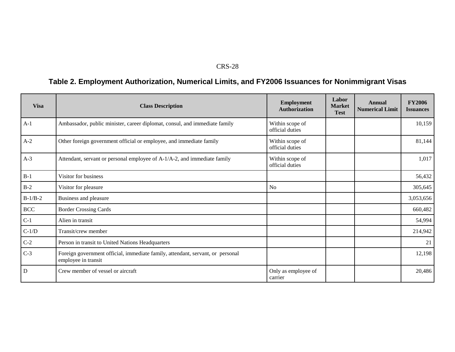#### CRS-28

## **Table 2. Employment Authorization, Numerical Limits, and FY2006 Issuances for Nonimmigrant Visas**

| <b>Visa</b> | <b>Class Description</b>                                                                              | <b>Employment</b><br><b>Authorization</b> | Labor<br><b>Market</b><br><b>Test</b> | Annual<br><b>Numerical Limit</b> | <b>FY2006</b><br><b>Issuances</b> |
|-------------|-------------------------------------------------------------------------------------------------------|-------------------------------------------|---------------------------------------|----------------------------------|-----------------------------------|
| $A-1$       | Ambassador, public minister, career diplomat, consul, and immediate family                            | Within scope of<br>official duties        |                                       |                                  | 10,159                            |
| $A-2$       | Other foreign government official or employee, and immediate family                                   | Within scope of<br>official duties        |                                       |                                  | 81,144                            |
| $A-3$       | Attendant, servant or personal employee of A-1/A-2, and immediate family                              | Within scope of<br>official duties        |                                       |                                  | 1,017                             |
| $B-1$       | Visitor for business                                                                                  |                                           |                                       |                                  | 56,432                            |
| $B-2$       | Visitor for pleasure                                                                                  | N <sub>o</sub>                            |                                       |                                  | 305,645                           |
| $B-1/B-2$   | Business and pleasure                                                                                 |                                           |                                       |                                  | 3,053,656                         |
| <b>BCC</b>  | <b>Border Crossing Cards</b>                                                                          |                                           |                                       |                                  | 660,482                           |
| $C-1$       | Alien in transit                                                                                      |                                           |                                       |                                  | 54,994                            |
| $C-1/D$     | Transit/crew member                                                                                   |                                           |                                       |                                  | 214,942                           |
| $C-2$       | Person in transit to United Nations Headquarters                                                      |                                           |                                       |                                  | 21                                |
| $C-3$       | Foreign government official, immediate family, attendant, servant, or personal<br>employee in transit |                                           |                                       |                                  | 12,198                            |
| $\mathbf D$ | Crew member of vessel or aircraft                                                                     | Only as employee of<br>carrier            |                                       |                                  | 20,486                            |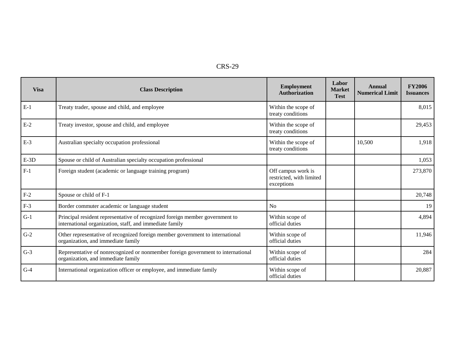| י רו<br>c<br>An T | ( ) |
|-------------------|-----|
|-------------------|-----|

| <b>Visa</b> | <b>Class Description</b>                                                                                                                | <b>Employment</b><br><b>Authorization</b>                    | Labor<br><b>Market</b><br><b>Test</b> | Annual<br><b>Numerical Limit</b> | <b>FY2006</b><br><b>Issuances</b> |
|-------------|-----------------------------------------------------------------------------------------------------------------------------------------|--------------------------------------------------------------|---------------------------------------|----------------------------------|-----------------------------------|
| $E-1$       | Treaty trader, spouse and child, and employee                                                                                           | Within the scope of<br>treaty conditions                     |                                       |                                  | 8,015                             |
| $E-2$       | Treaty investor, spouse and child, and employee                                                                                         | Within the scope of<br>treaty conditions                     |                                       |                                  | 29,453                            |
| $E-3$       | Australian specialty occupation professional                                                                                            | Within the scope of<br>treaty conditions                     |                                       | 10,500                           | 1,918                             |
| $E-3D$      | Spouse or child of Australian specialty occupation professional                                                                         |                                                              |                                       |                                  | 1,053                             |
| $F-1$       | Foreign student (academic or language training program)                                                                                 | Off campus work is<br>restricted, with limited<br>exceptions |                                       |                                  | 273,870                           |
| $F-2$       | Spouse or child of F-1                                                                                                                  |                                                              |                                       |                                  | 20,748                            |
| $F-3$       | Border commuter academic or language student                                                                                            | N <sub>o</sub>                                               |                                       |                                  | 19                                |
| $G-1$       | Principal resident representative of recognized foreign member government to<br>international organization, staff, and immediate family | Within scope of<br>official duties                           |                                       |                                  | 4,894                             |
| $G-2$       | Other representative of recognized foreign member government to international<br>organization, and immediate family                     | Within scope of<br>official duties                           |                                       |                                  | 11,946                            |
| $G-3$       | Representative of nonrecognized or nonmember foreign government to international<br>organization, and immediate family                  | Within scope of<br>official duties                           |                                       |                                  | 284                               |
| $G-4$       | International organization officer or employee, and immediate family                                                                    | Within scope of<br>official duties                           |                                       |                                  | 20,887                            |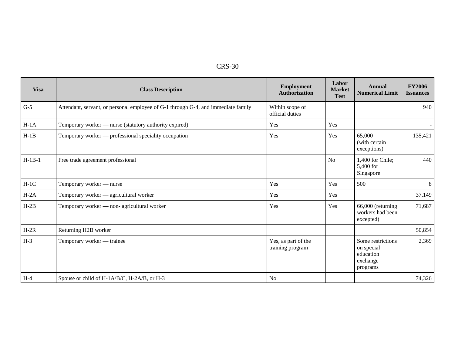| 30<br>CRS- |
|------------|
|------------|

| <b>Visa</b> | <b>Class Description</b>                                                          | <b>Employment</b><br><b>Authorization</b> | Labor<br><b>Market</b><br><b>Test</b> | Annual<br><b>Numerical Limit</b>                                     | <b>FY2006</b><br><b>Issuances</b> |
|-------------|-----------------------------------------------------------------------------------|-------------------------------------------|---------------------------------------|----------------------------------------------------------------------|-----------------------------------|
| $G-5$       | Attendant, servant, or personal employee of G-1 through G-4, and immediate family | Within scope of<br>official duties        |                                       |                                                                      | 940                               |
| $H-1A$      | Temporary worker - nurse (statutory authority expired)                            | Yes                                       | Yes                                   |                                                                      | $\sim$                            |
| $H-1B$      | Temporary worker — professional speciality occupation                             | Yes                                       | Yes                                   | 65,000<br>(with certain<br>exceptions)                               | 135,421                           |
| $H-1B-1$    | Free trade agreement professional                                                 |                                           | No                                    | 1,400 for Chile;<br>5,400 for<br>Singapore                           | 440                               |
| $H-1C$      | Temporary worker - nurse                                                          | Yes                                       | Yes                                   | 500                                                                  | 8                                 |
| $H-2A$      | Temporary worker — agricultural worker                                            | Yes                                       | Yes                                   |                                                                      | 37,149                            |
| $H-2B$      | Temporary worker — non- agricultural worker                                       | Yes                                       | Yes                                   | 66,000 (returning<br>workers had been<br>excepted)                   | 71,687                            |
| $H-2R$      | Returning H2B worker                                                              |                                           |                                       |                                                                      | 50,854                            |
| $H-3$       | Temporary worker — trainee                                                        | Yes, as part of the<br>training program   |                                       | Some restrictions<br>on special<br>education<br>exchange<br>programs | 2,369                             |
| $H-4$       | Spouse or child of H-1A/B/C, H-2A/B, or H-3                                       | <b>No</b>                                 |                                       |                                                                      | 74,326                            |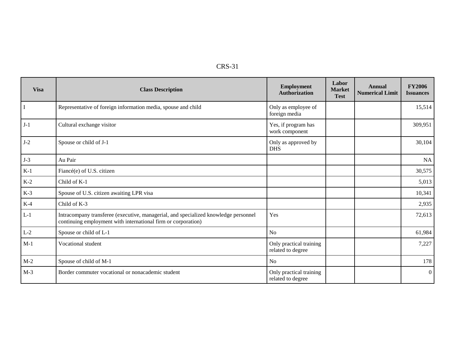| n.<br>N. |  |
|----------|--|
|----------|--|

| <b>Visa</b> | <b>Class Description</b>                                                                                                                             | <b>Employment</b><br><b>Authorization</b>    | Labor<br><b>Market</b><br><b>Test</b> | Annual<br><b>Numerical Limit</b> | <b>FY2006</b><br><b>Issuances</b> |
|-------------|------------------------------------------------------------------------------------------------------------------------------------------------------|----------------------------------------------|---------------------------------------|----------------------------------|-----------------------------------|
| $\bf I$     | Representative of foreign information media, spouse and child                                                                                        | Only as employee of<br>foreign media         |                                       |                                  | 15,514                            |
| $J-1$       | Cultural exchange visitor                                                                                                                            | Yes, if program has<br>work component        |                                       |                                  | 309,951                           |
| $J-2$       | Spouse or child of J-1                                                                                                                               | Only as approved by<br><b>DHS</b>            |                                       |                                  | 30,104                            |
| $J-3$       | Au Pair                                                                                                                                              |                                              |                                       |                                  | NA                                |
| $K-1$       | Fiancé(e) of U.S. citizen                                                                                                                            |                                              |                                       |                                  | 30,575                            |
| $K-2$       | Child of K-1                                                                                                                                         |                                              |                                       |                                  | 5,013                             |
| $K-3$       | Spouse of U.S. citizen awaiting LPR visa                                                                                                             |                                              |                                       |                                  | 10,341                            |
| $K-4$       | Child of K-3                                                                                                                                         |                                              |                                       |                                  | 2,935                             |
| $L-1$       | Intracompany transferee (executive, managerial, and specialized knowledge personnel<br>continuing employment with international firm or corporation) | Yes                                          |                                       |                                  | 72,613                            |
| $L-2$       | Spouse or child of L-1                                                                                                                               | N <sub>o</sub>                               |                                       |                                  | 61,984                            |
| $M-1$       | Vocational student                                                                                                                                   | Only practical training<br>related to degree |                                       |                                  | 7,227                             |
| $M-2$       | Spouse of child of M-1                                                                                                                               | N <sub>o</sub>                               |                                       |                                  | 178                               |
| $M-3$       | Border commuter vocational or nonacademic student                                                                                                    | Only practical training<br>related to degree |                                       |                                  | $\overline{0}$                    |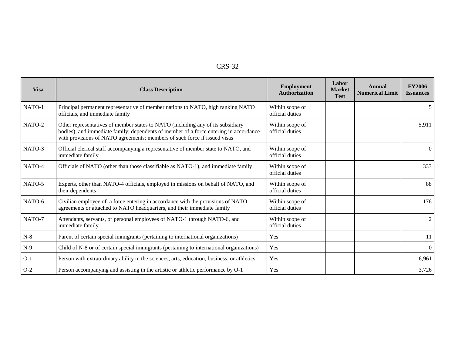| יי<br>v. |
|----------|
|----------|

| <b>Visa</b> | <b>Class Description</b>                                                                                                                                                                                                                              | <b>Employment</b><br><b>Authorization</b> | Labor<br><b>Market</b><br><b>Test</b> | Annual<br><b>Numerical Limit</b> | <b>FY2006</b><br><b>Issuances</b> |
|-------------|-------------------------------------------------------------------------------------------------------------------------------------------------------------------------------------------------------------------------------------------------------|-------------------------------------------|---------------------------------------|----------------------------------|-----------------------------------|
| NATO-1      | Principal permanent representative of member nations to NATO, high ranking NATO<br>officials, and immediate family                                                                                                                                    | Within scope of<br>official duties        |                                       |                                  | 5                                 |
| NATO-2      | Other representatives of member states to NATO (including any of its subsidiary<br>bodies), and immediate family; dependents of member of a force entering in accordance<br>with provisions of NATO agreements; members of such force if issued visas | Within scope of<br>official duties        |                                       |                                  | 5,911                             |
| NATO-3      | Official clerical staff accompanying a representative of member state to NATO, and<br>immediate family                                                                                                                                                | Within scope of<br>official duties        |                                       |                                  | $\Omega$                          |
| NATO-4      | Officials of NATO (other than those classifiable as NATO-1), and immediate family                                                                                                                                                                     | Within scope of<br>official duties        |                                       |                                  | 333                               |
| NATO-5      | Experts, other than NATO-4 officials, employed in missions on behalf of NATO, and<br>their dependents                                                                                                                                                 | Within scope of<br>official duties        |                                       |                                  | 88                                |
| NATO-6      | Civilian employee of a force entering in accordance with the provisions of NATO<br>agreements or attached to NATO headquarters, and their immediate family                                                                                            | Within scope of<br>official duties        |                                       |                                  | 176                               |
| NATO-7      | Attendants, servants, or personal employees of NATO-1 through NATO-6, and<br>immediate family                                                                                                                                                         | Within scope of<br>official duties        |                                       |                                  | $\overline{2}$                    |
| $N-8$       | Parent of certain special immigrants (pertaining to international organizations)                                                                                                                                                                      | Yes                                       |                                       |                                  | 11                                |
| $N-9$       | Child of N-8 or of certain special immigrants (pertaining to international organizations)                                                                                                                                                             | Yes                                       |                                       |                                  | $\Omega$                          |
| $O-1$       | Person with extraordinary ability in the sciences, arts, education, business, or athletics                                                                                                                                                            | Yes                                       |                                       |                                  | 6,961                             |
| $O-2$       | Person accompanying and assisting in the artistic or athletic performance by O-1                                                                                                                                                                      | Yes                                       |                                       |                                  | 3,726                             |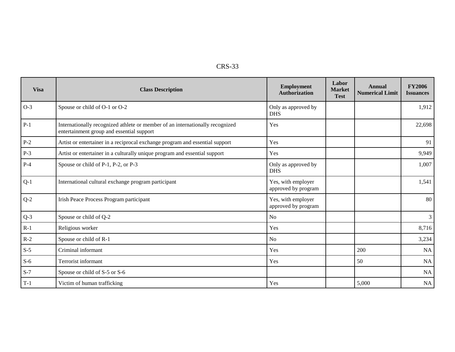| <b>Visa</b> | <b>Class Description</b>                                                                                                   | <b>Employment</b><br><b>Authorization</b> | Labor<br><b>Market</b><br><b>Test</b> | <b>Annual</b><br><b>Numerical Limit</b> | <b>FY2006</b><br><b>Issuances</b> |
|-------------|----------------------------------------------------------------------------------------------------------------------------|-------------------------------------------|---------------------------------------|-----------------------------------------|-----------------------------------|
| $O-3$       | Spouse or child of O-1 or O-2                                                                                              | Only as approved by<br><b>DHS</b>         |                                       |                                         | 1,912                             |
| $P-1$       | Internationally recognized athlete or member of an internationally recognized<br>entertainment group and essential support | Yes                                       |                                       |                                         | 22,698                            |
| $P-2$       | Artist or entertainer in a reciprocal exchange program and essential support                                               | Yes                                       |                                       |                                         | 91                                |
| $P-3$       | Artist or entertainer in a culturally unique program and essential support                                                 | Yes                                       |                                       |                                         | 9,949                             |
| $P-4$       | Spouse or child of P-1, P-2, or P-3                                                                                        | Only as approved by<br><b>DHS</b>         |                                       |                                         | 1,007                             |
| $Q-1$       | International cultural exchange program participant                                                                        | Yes, with employer<br>approved by program |                                       |                                         | 1,541                             |
| $Q-2$       | Irish Peace Process Program participant                                                                                    | Yes, with employer<br>approved by program |                                       |                                         | 80                                |
| $Q-3$       | Spouse or child of Q-2                                                                                                     | N <sub>0</sub>                            |                                       |                                         | 3                                 |
| $R-1$       | Religious worker                                                                                                           | Yes                                       |                                       |                                         | 8,716                             |
| $R-2$       | Spouse or child of R-1                                                                                                     | N <sub>0</sub>                            |                                       |                                         | 3,234                             |
| $S-5$       | Criminal informant                                                                                                         | Yes                                       |                                       | 200                                     | NA                                |
| $S-6$       | Terrorist informant                                                                                                        | Yes                                       |                                       | 50                                      | NA                                |
| $S-7$       | Spouse or child of S-5 or S-6                                                                                              |                                           |                                       |                                         | NA                                |
| $T-1$       | Victim of human trafficking                                                                                                | Yes                                       |                                       | 5,000                                   | NA                                |